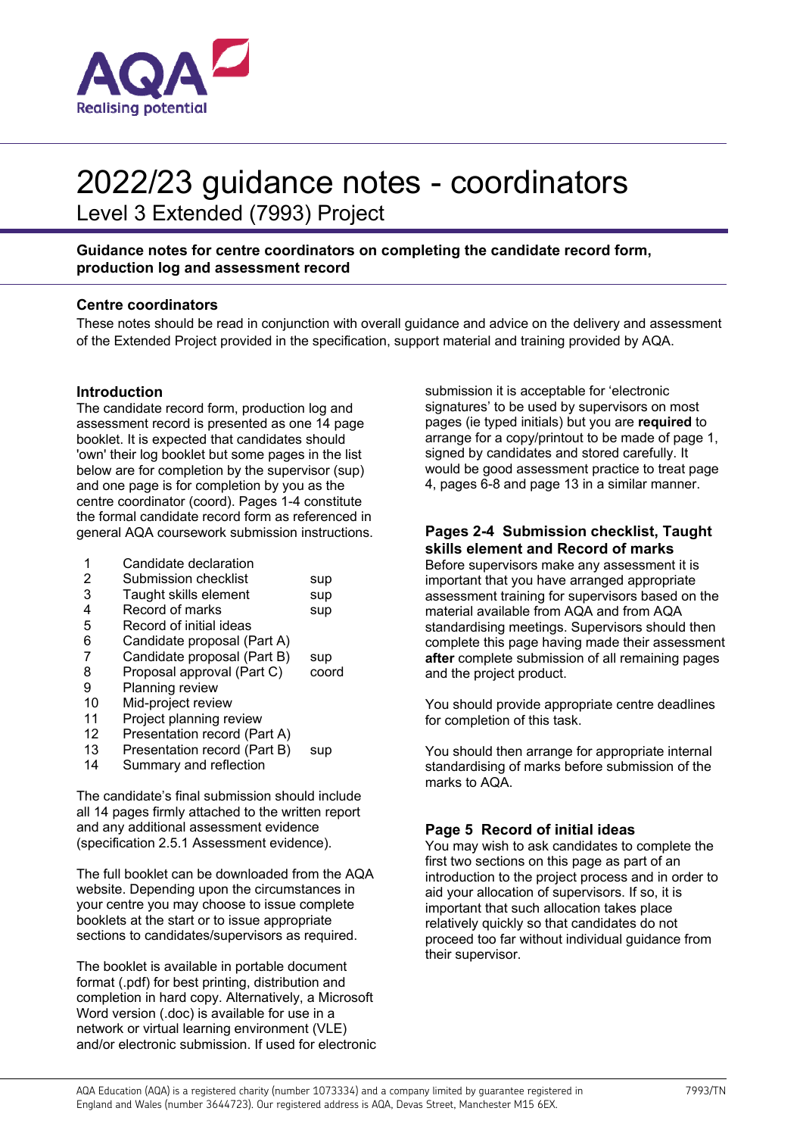

## 2022/23 guidance notes - coordinators

Level 3 Extended (7993) Project

## **Guidance notes for centre coordinators on completing the candidate record form, production log and assessment record**

## **Centre coordinators**

These notes should be read in conjunction with overall guidance and advice on the delivery and assessment of the Extended Project provided in the specification, support material and training provided by AQA.

## **Introduction**

The candidate record form, production log and assessment record is presented as one 14 page booklet. It is expected that candidates should 'own' their log booklet but some pages in the list below are for completion by the supervisor (sup) and one page is for completion by you as the centre coordinator (coord). Pages 1-4 constitute the formal candidate record form as referenced in general AQA coursework submission instructions.

- 1 Candidate declaration
- 2 Submission checklist sup
- 3 Taught skills element sup 4 Record of marks sup
- 5 Record of initial ideas
- 6 Candidate proposal (Part A)
- 
- 7 Candidate proposal (Part B) sup<br>8 Proposal approval (Part C) coor 8 Proposal approval (Part C) coord<br>9 Planning review
- Planning review
- 10 Mid-project review
- 11 Project planning review
- 12 Presentation record (Part A)
- 13 Presentation record (Part B) sup
- 14 Summary and reflection

The candidate's final submission should include all 14 pages firmly attached to the written report and any additional assessment evidence (specification 2.5.1 Assessment evidence).

The full booklet can be downloaded from the AQA website. Depending upon the circumstances in your centre you may choose to issue complete booklets at the start or to issue appropriate sections to candidates/supervisors as required.

The booklet is available in portable document format (.pdf) for best printing, distribution and completion in hard copy. Alternatively, a Microsoft Word version (.doc) is available for use in a network or virtual learning environment (VLE) and/or electronic submission. If used for electronic submission it is acceptable for 'electronic signatures' to be used by supervisors on most pages (ie typed initials) but you are **required** to arrange for a copy/printout to be made of page 1, signed by candidates and stored carefully. It would be good assessment practice to treat page 4, pages 6-8 and page 13 in a similar manner.

## **Pages 2-4 Submission checklist, Taught skills element and Record of marks**

Before supervisors make any assessment it is important that you have arranged appropriate assessment training for supervisors based on the material available from AQA and from AQA standardising meetings. Supervisors should then complete this page having made their assessment **after** complete submission of all remaining pages and the project product.

You should provide appropriate centre deadlines for completion of this task.

You should then arrange for appropriate internal standardising of marks before submission of the marks to AQA.

## **Page 5 Record of initial ideas**

You may wish to ask candidates to complete the first two sections on this page as part of an introduction to the project process and in order to aid your allocation of supervisors. If so, it is important that such allocation takes place relatively quickly so that candidates do not proceed too far without individual guidance from their supervisor.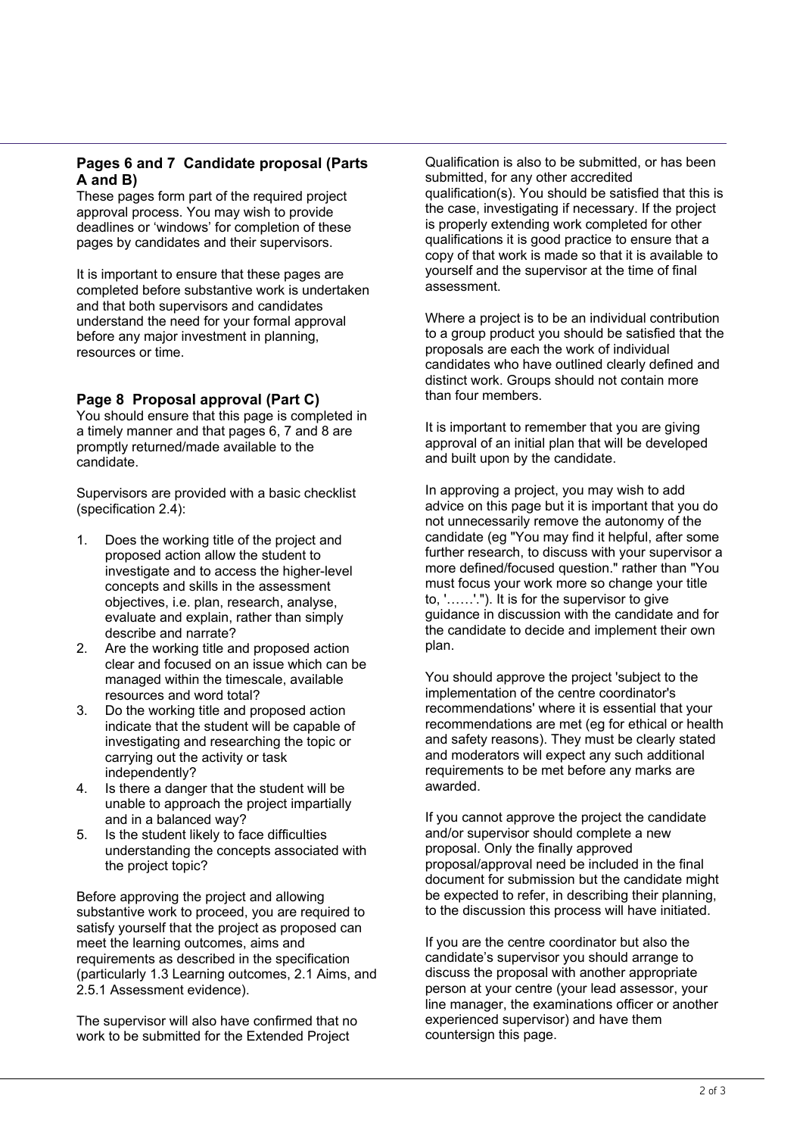## **Pages 6 and 7 Candidate proposal (Parts A and B)**

These pages form part of the required project approval process. You may wish to provide deadlines or 'windows' for completion of these pages by candidates and their supervisors.

It is important to ensure that these pages are completed before substantive work is undertaken and that both supervisors and candidates understand the need for your formal approval before any major investment in planning, resources or time.

## **Page 8 Proposal approval (Part C)**

You should ensure that this page is completed in a timely manner and that pages 6, 7 and 8 are promptly returned/made available to the candidate.

Supervisors are provided with a basic checklist (specification 2.4):

- 1. Does the working title of the project and proposed action allow the student to investigate and to access the higher-level concepts and skills in the assessment objectives, i.e. plan, research, analyse, evaluate and explain, rather than simply describe and narrate?
- 2. Are the working title and proposed action clear and focused on an issue which can be managed within the timescale, available resources and word total?
- 3. Do the working title and proposed action indicate that the student will be capable of investigating and researching the topic or carrying out the activity or task independently?
- 4. Is there a danger that the student will be unable to approach the project impartially and in a balanced way?
- 5. Is the student likely to face difficulties understanding the concepts associated with the project topic?

Before approving the project and allowing substantive work to proceed, you are required to satisfy yourself that the project as proposed can meet the learning outcomes, aims and requirements as described in the specification (particularly 1.3 Learning outcomes, 2.1 Aims, and 2.5.1 Assessment evidence).

The supervisor will also have confirmed that no work to be submitted for the Extended Project

Qualification is also to be submitted, or has been submitted, for any other accredited qualification(s). You should be satisfied that this is the case, investigating if necessary. If the project is properly extending work completed for other qualifications it is good practice to ensure that a copy of that work is made so that it is available to yourself and the supervisor at the time of final assessment.

Where a project is to be an individual contribution to a group product you should be satisfied that the proposals are each the work of individual candidates who have outlined clearly defined and distinct work. Groups should not contain more than four members.

It is important to remember that you are giving approval of an initial plan that will be developed and built upon by the candidate.

In approving a project, you may wish to add advice on this page but it is important that you do not unnecessarily remove the autonomy of the candidate (eg "You may find it helpful, after some further research, to discuss with your supervisor a more defined/focused question." rather than "You must focus your work more so change your title to, '……'."). It is for the supervisor to give guidance in discussion with the candidate and for the candidate to decide and implement their own plan.

You should approve the project 'subject to the implementation of the centre coordinator's recommendations' where it is essential that your recommendations are met (eg for ethical or health and safety reasons). They must be clearly stated and moderators will expect any such additional requirements to be met before any marks are awarded.

If you cannot approve the project the candidate and/or supervisor should complete a new proposal. Only the finally approved proposal/approval need be included in the final document for submission but the candidate might be expected to refer, in describing their planning, to the discussion this process will have initiated.

If you are the centre coordinator but also the candidate's supervisor you should arrange to discuss the proposal with another appropriate person at your centre (your lead assessor, your line manager, the examinations officer or another experienced supervisor) and have them countersign this page.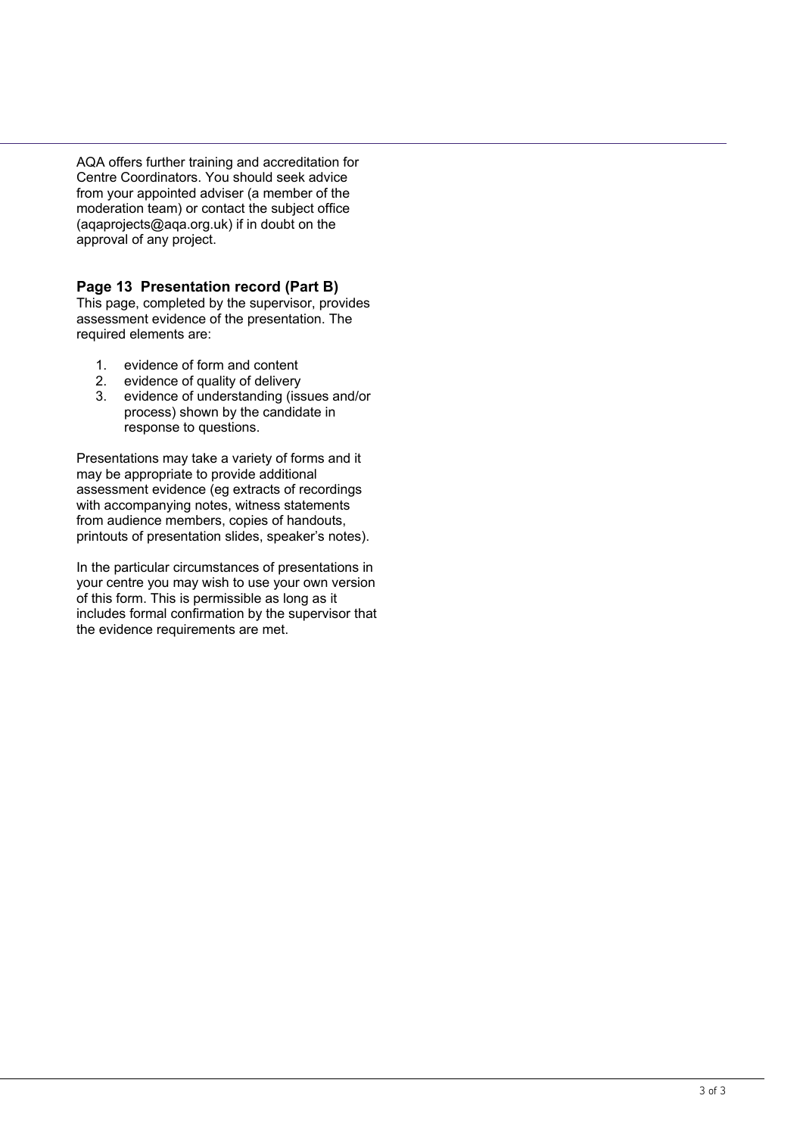AQA offers further training and accreditation for Centre Coordinators. You should seek advice from your appointed adviser (a member of the moderation team) or contact the subject office (aqaprojects@aqa.org.uk) if in doubt on the approval of any project.

## **Page 13 Presentation record (Part B)**

This page, completed by the supervisor, provides assessment evidence of the presentation. The required elements are:

- 1. evidence of form and content
- 2. evidence of quality of delivery
- 3. evidence of understanding (issues and/or process) shown by the candidate in response to questions.

Presentations may take a variety of forms and it may be appropriate to provide additional assessment evidence (eg extracts of recordings with accompanying notes, witness statements from audience members, copies of handouts, printouts of presentation slides, speaker's notes).

In the particular circumstances of presentations in your centre you may wish to use your own version of this form. This is permissible as long as it includes formal confirmation by the supervisor that the evidence requirements are met.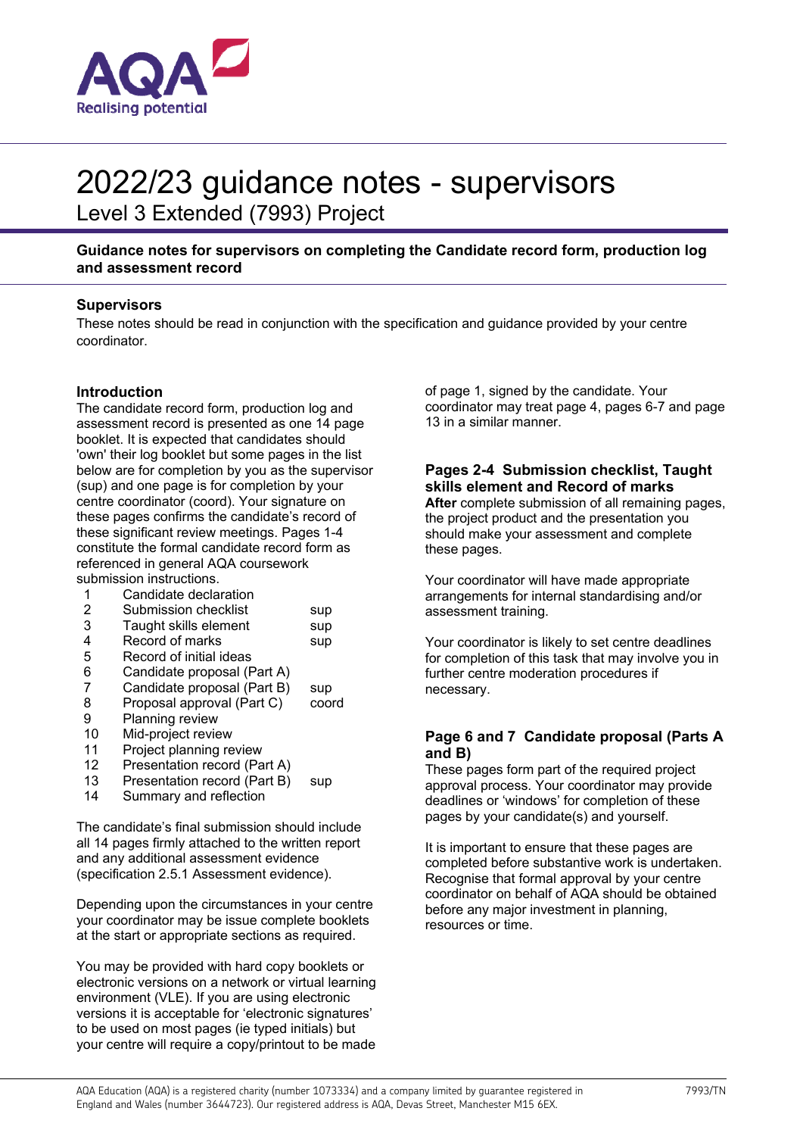

## 2022/23 guidance notes - supervisors

Level 3 Extended (7993) Project

## **Guidance notes for supervisors on completing the Candidate record form, production log and assessment record**

### **Supervisors**

These notes should be read in conjunction with the specification and guidance provided by your centre coordinator.

## **Introduction**

The candidate record form, production log and assessment record is presented as one 14 page booklet. It is expected that candidates should 'own' their log booklet but some pages in the list below are for completion by you as the supervisor (sup) and one page is for completion by your centre coordinator (coord). Your signature on these pages confirms the candidate's record of these significant review meetings. Pages 1-4 constitute the formal candidate record form as referenced in general AQA coursework submission instructions.

1 Candidate declaration

| sup |
|-----|
|     |

| 3 | Taught skills element | sup |
|---|-----------------------|-----|

| Record of marks<br>sup |  |  |
|------------------------|--|--|
|                        |  |  |

- 5 Record of initial ideas<br>6 Candidate proposal (F
- 6 Candidate proposal (Part A)<br>7 Candidate proposal (Part B)
- $C$ andidate proposal  $(Part B)$  sup
- 8 Proposal approval (Part C) coord
- 9 Planning review
- 10 Mid-project review
- 11 Project planning review
- 12 Presentation record (Part A)
- 13 Presentation record (Part B) sup
- 14 Summary and reflection

The candidate's final submission should include all 14 pages firmly attached to the written report and any additional assessment evidence (specification 2.5.1 Assessment evidence).

Depending upon the circumstances in your centre your coordinator may be issue complete booklets at the start or appropriate sections as required.

You may be provided with hard copy booklets or electronic versions on a network or virtual learning environment (VLE). If you are using electronic versions it is acceptable for 'electronic signatures' to be used on most pages (ie typed initials) but your centre will require a copy/printout to be made

of page 1, signed by the candidate. Your coordinator may treat page 4, pages 6-7 and page 13 in a similar manner.

## **Pages 2-4 Submission checklist, Taught skills element and Record of marks**

**After** complete submission of all remaining pages, the project product and the presentation you should make your assessment and complete these pages.

Your coordinator will have made appropriate arrangements for internal standardising and/or assessment training.

Your coordinator is likely to set centre deadlines for completion of this task that may involve you in further centre moderation procedures if necessary.

## **Page 6 and 7 Candidate proposal (Parts A and B)**

These pages form part of the required project approval process. Your coordinator may provide deadlines or 'windows' for completion of these pages by your candidate(s) and yourself.

It is important to ensure that these pages are completed before substantive work is undertaken. Recognise that formal approval by your centre coordinator on behalf of AQA should be obtained before any major investment in planning, resources or time.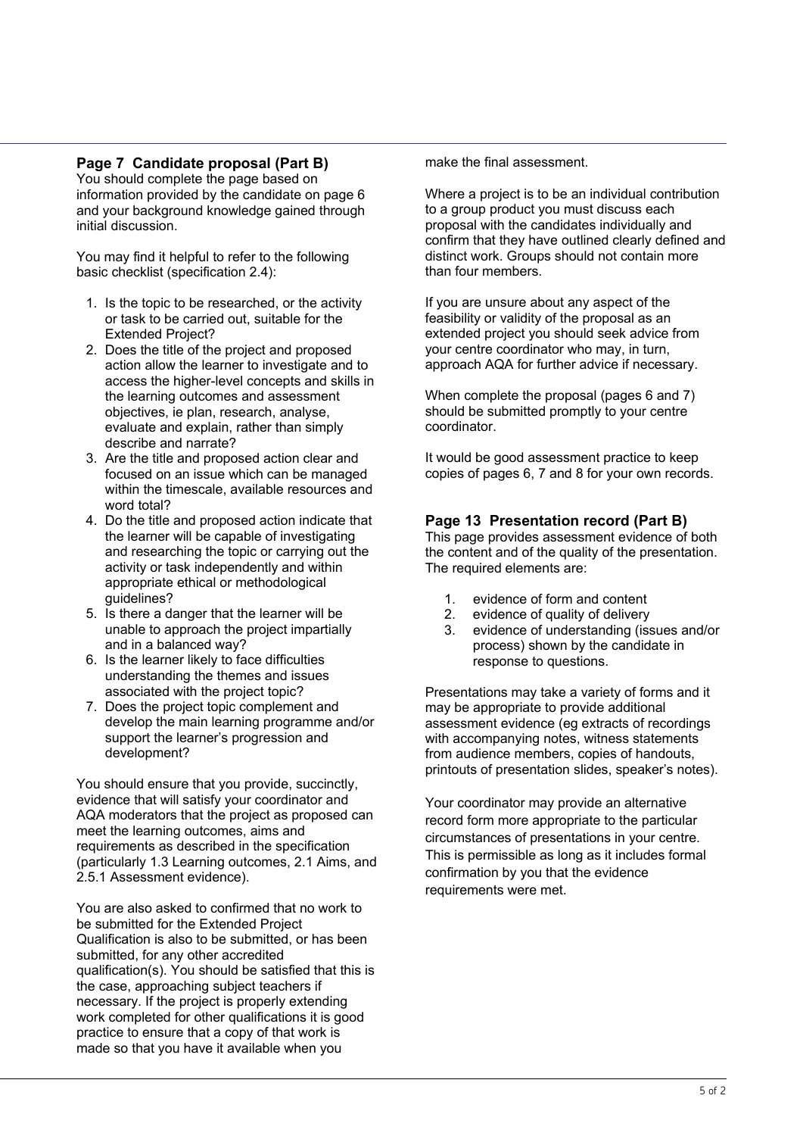## **Page 7 Candidate proposal (Part B)**

You should complete the page based on information provided by the candidate on page 6 and your background knowledge gained through initial discussion.

You may find it helpful to refer to the following basic checklist (specification 2.4):

- 1. Is the topic to be researched, or the activity or task to be carried out, suitable for the Extended Project?
- 2. Does the title of the project and proposed action allow the learner to investigate and to access the higher-level concepts and skills in the learning outcomes and assessment objectives, ie plan, research, analyse, evaluate and explain, rather than simply describe and narrate?
- 3. Are the title and proposed action clear and focused on an issue which can be managed within the timescale, available resources and word total?
- 4. Do the title and proposed action indicate that the learner will be capable of investigating and researching the topic or carrying out the activity or task independently and within appropriate ethical or methodological guidelines?
- 5. Is there a danger that the learner will be unable to approach the project impartially and in a balanced way?
- 6. Is the learner likely to face difficulties understanding the themes and issues associated with the project topic?
- 7. Does the project topic complement and develop the main learning programme and/or support the learner's progression and development?

You should ensure that you provide, succinctly, evidence that will satisfy your coordinator and AQA moderators that the project as proposed can meet the learning outcomes, aims and requirements as described in the specification (particularly 1.3 Learning outcomes, 2.1 Aims, and 2.5.1 Assessment evidence).

You are also asked to confirmed that no work to be submitted for the Extended Project Qualification is also to be submitted, or has been submitted, for any other accredited qualification(s). You should be satisfied that this is the case, approaching subject teachers if necessary. If the project is properly extending work completed for other qualifications it is good practice to ensure that a copy of that work is made so that you have it available when you

make the final assessment.

Where a project is to be an individual contribution to a group product you must discuss each proposal with the candidates individually and confirm that they have outlined clearly defined and distinct work. Groups should not contain more than four members.

If you are unsure about any aspect of the feasibility or validity of the proposal as an extended project you should seek advice from your centre coordinator who may, in turn, approach AQA for further advice if necessary.

When complete the proposal (pages 6 and 7) should be submitted promptly to your centre coordinator.

It would be good assessment practice to keep copies of pages 6, 7 and 8 for your own records.

## **Page 13 Presentation record (Part B)**

This page provides assessment evidence of both the content and of the quality of the presentation. The required elements are:

- 1. evidence of form and content
- 2. evidence of quality of delivery
- 3. evidence of understanding (issues and/or process) shown by the candidate in response to questions.

Presentations may take a variety of forms and it may be appropriate to provide additional assessment evidence (eg extracts of recordings with accompanying notes, witness statements from audience members, copies of handouts, printouts of presentation slides, speaker's notes).

Your coordinator may provide an alternative record form more appropriate to the particular circumstances of presentations in your centre. This is permissible as long as it includes formal confirmation by you that the evidence requirements were met.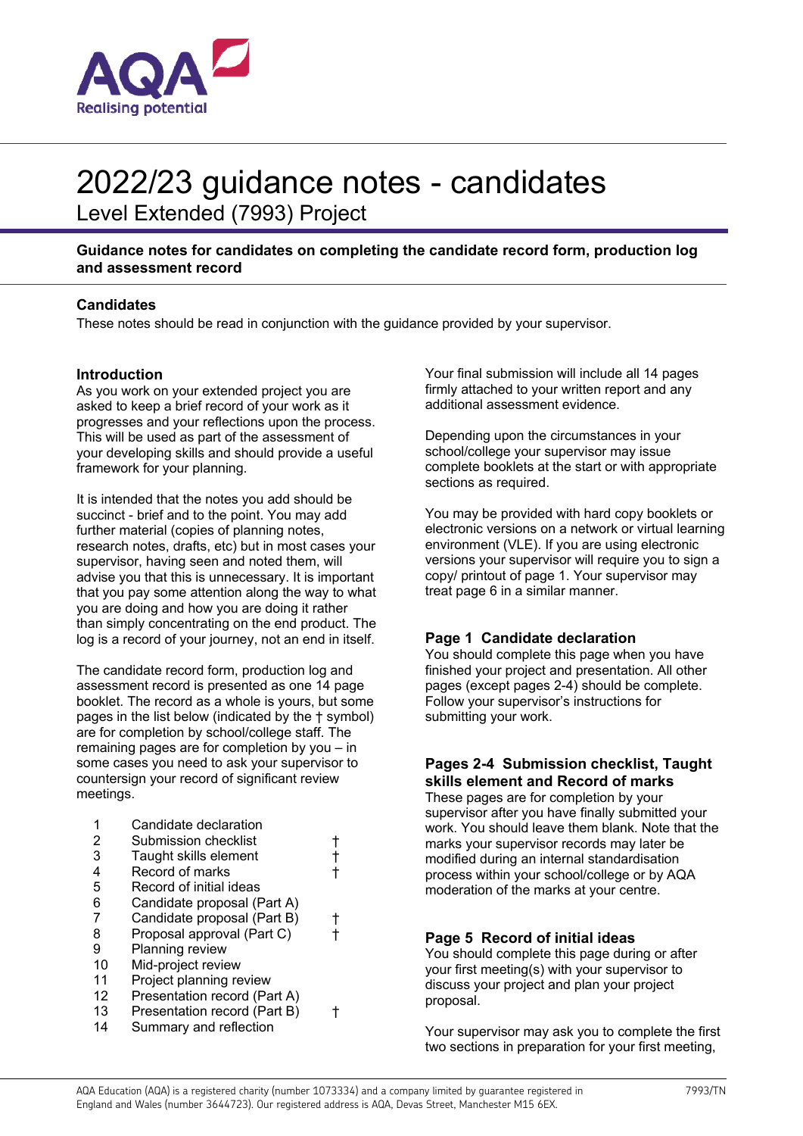

# 2022/23 guidance notes - candidates

Level Extended (7993) Project

**Guidance notes for candidates on completing the candidate record form, production log and assessment record** 

## **Candidates**

These notes should be read in conjunction with the guidance provided by your supervisor.

### **Introduction**

As you work on your extended project you are asked to keep a brief record of your work as it progresses and your reflections upon the process. This will be used as part of the assessment of your developing skills and should provide a useful framework for your planning.

It is intended that the notes you add should be succinct - brief and to the point. You may add further material (copies of planning notes, research notes, drafts, etc) but in most cases your supervisor, having seen and noted them, will advise you that this is unnecessary. It is important that you pay some attention along the way to what you are doing and how you are doing it rather than simply concentrating on the end product. The log is a record of your journey, not an end in itself.

The candidate record form, production log and assessment record is presented as one 14 page booklet. The record as a whole is yours, but some pages in the list below (indicated by the † symbol) are for completion by school/college staff. The remaining pages are for completion by you – in some cases you need to ask your supervisor to countersign your record of significant review meetings.

|    | Candidate declaration        |  |
|----|------------------------------|--|
| 2  | Submission checklist         |  |
| 3  | Taught skills element        |  |
| 4  | Record of marks              |  |
| 5  | Record of initial ideas      |  |
| 6  | Candidate proposal (Part A)  |  |
| 7  | Candidate proposal (Part B)  |  |
| 8  | Proposal approval (Part C)   |  |
| 9  | Planning review              |  |
| 10 | Mid-project review           |  |
| 11 | Project planning review      |  |
| 12 | Presentation record (Part A) |  |
| 13 | Presentation record (Part B) |  |
| 14 | Summary and reflection       |  |

Your final submission will include all 14 pages firmly attached to your written report and any additional assessment evidence.

Depending upon the circumstances in your school/college your supervisor may issue complete booklets at the start or with appropriate sections as required.

You may be provided with hard copy booklets or electronic versions on a network or virtual learning environment (VLE). If you are using electronic versions your supervisor will require you to sign a copy/ printout of page 1. Your supervisor may treat page 6 in a similar manner.

## **Page 1 Candidate declaration**

You should complete this page when you have finished your project and presentation. All other pages (except pages 2-4) should be complete. Follow your supervisor's instructions for submitting your work.

## **Pages 2-4 Submission checklist, Taught skills element and Record of marks**

These pages are for completion by your supervisor after you have finally submitted your work. You should leave them blank. Note that the marks your supervisor records may later be modified during an internal standardisation process within your school/college or by AQA moderation of the marks at your centre.

## **Page 5 Record of initial ideas**

You should complete this page during or after your first meeting(s) with your supervisor to discuss your project and plan your project proposal.

Your supervisor may ask you to complete the first two sections in preparation for your first meeting,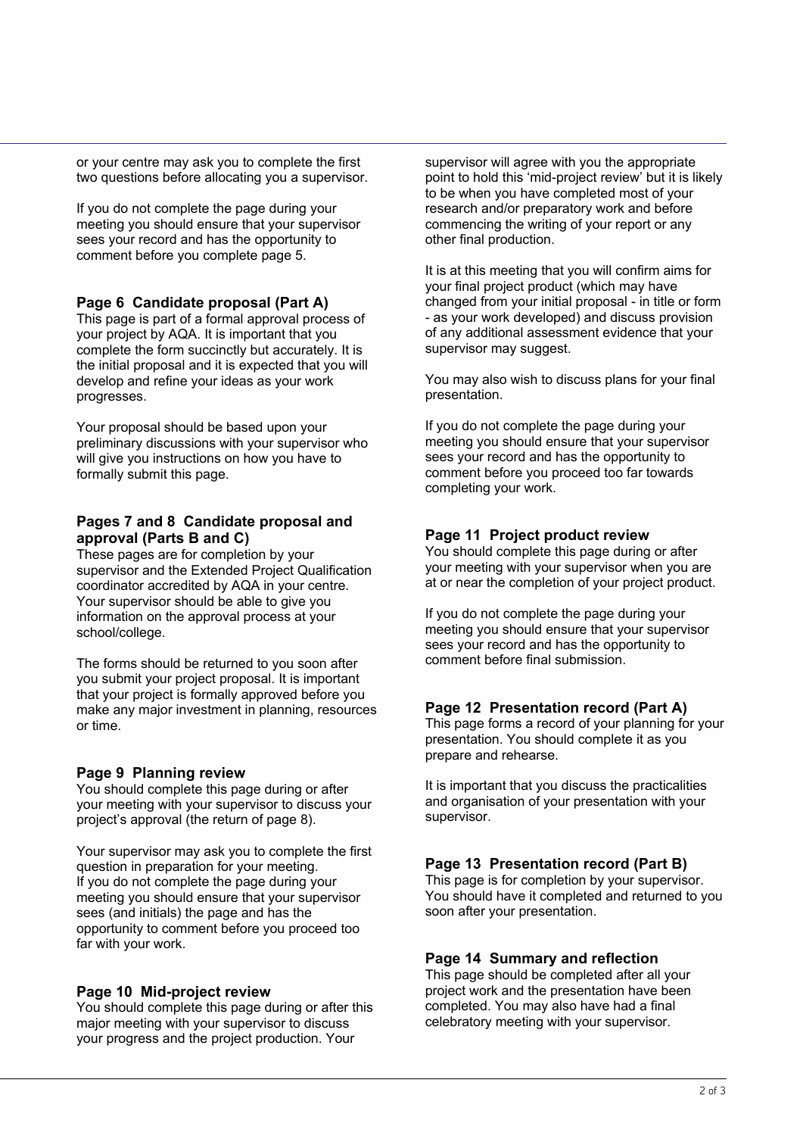or your centre may ask you to complete the first two questions before allocating you a supervisor.

If you do not complete the page during your meeting you should ensure that your supervisor sees your record and has the opportunity to comment before you complete page 5.

### **Page 6 Candidate proposal (Part A)**

This page is part of a formal approval process of your project by AQA. It is important that you complete the form succinctly but accurately. It is the initial proposal and it is expected that you will develop and refine your ideas as your work progresses.

Your proposal should be based upon your preliminary discussions with your supervisor who will give you instructions on how you have to formally submit this page.

### **Pages 7 and 8 Candidate proposal and approval (Parts B and C)**

These pages are for completion by your supervisor and the Extended Project Qualification coordinator accredited by AQA in your centre. Your supervisor should be able to give you information on the approval process at your school/college.

The forms should be returned to you soon after you submit your project proposal. It is important that your project is formally approved before you make any major investment in planning, resources or time.

### **Page 9 Planning review**

You should complete this page during or after your meeting with your supervisor to discuss your project's approval (the return of page 8).

Your supervisor may ask you to complete the first question in preparation for your meeting. If you do not complete the page during your meeting you should ensure that your supervisor sees (and initials) the page and has the opportunity to comment before you proceed too far with your work.

### **Page 10 Mid-project review**

You should complete this page during or after this major meeting with your supervisor to discuss your progress and the project production. Your

supervisor will agree with you the appropriate point to hold this 'mid-project review' but it is likely to be when you have completed most of your research and/or preparatory work and before commencing the writing of your report or any other final production.

It is at this meeting that you will confirm aims for your final project product (which may have changed from your initial proposal - in title or form - as your work developed) and discuss provision of any additional assessment evidence that your supervisor may suggest.

You may also wish to discuss plans for your final presentation.

If you do not complete the page during your meeting you should ensure that your supervisor sees your record and has the opportunity to comment before you proceed too far towards completing your work.

### **Page 11 Project product review**

You should complete this page during or after your meeting with your supervisor when you are at or near the completion of your project product.

If you do not complete the page during your meeting you should ensure that your supervisor sees your record and has the opportunity to comment before final submission.

### **Page 12 Presentation record (Part A)**

This page forms a record of your planning for your presentation. You should complete it as you prepare and rehearse.

It is important that you discuss the practicalities and organisation of your presentation with your supervisor.

### **Page 13 Presentation record (Part B)**

This page is for completion by your supervisor. You should have it completed and returned to you soon after your presentation.

### **Page 14 Summary and reflection**

This page should be completed after all your project work and the presentation have been completed. You may also have had a final celebratory meeting with your supervisor.